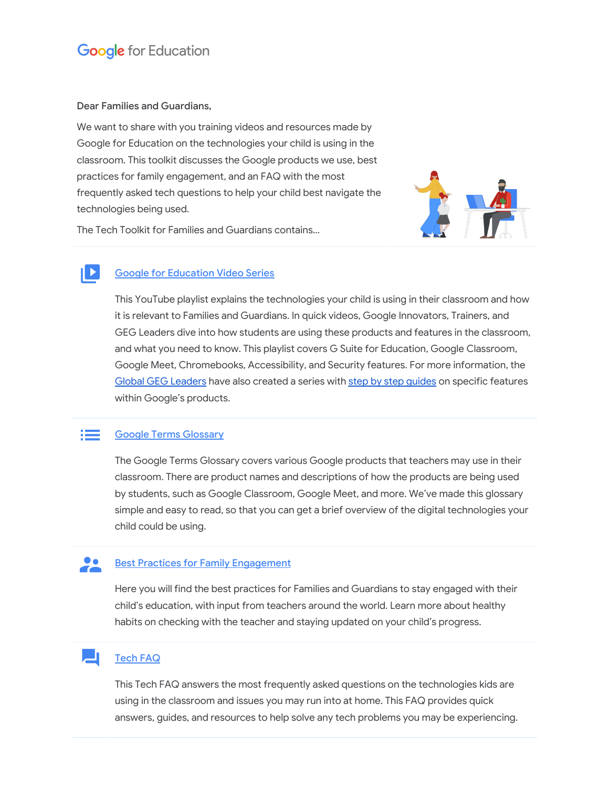## **Google for Education**

### Dear Families and Guardians,

 $\blacktriangleright$ 

We want to share with you training videos and resources made by Google for Education on the technologies your child is using in the classroom. This toolkit discusses the Google products we use, best practices for family engagement, and an FAQ with the most frequently asked tech questions to help your child best navigate the technologies being used.

The Tech Toolkit for Families and Guardians contains…



### Google for [Education](https://www.youtube.com/playlist?list=PLP7Bvyb3ap44Mll5eZ8RqY9VtuELuJ4eT) Video Series

This YouTube playlist explains the technologies your child is using in their classroom and how it is relevant to Families and Guardians. In quick videos, Google Innovators, Trainers, and GEG Leaders dive into how students are using these products and features in the classroom, and what you need to know. This playlist covers G Suite for Education, Google Classroom, Google Meet, Chromebooks, Accessibility, and Security features. For more information, the Global GEG [Leaders](https://www.globalgeg.org/) have also created a series with step by step quides on specific features within Google's products.

#### a populație de la provincia de la provincia de la provincia de la provincia de la provincia de la provincia d Google Terms [Glossary](http://services.google.com/fh/files/misc/google_terms_glossary.pdf)

The Google Terms Glossary covers various Google products that teachers may use in their classroom. There are product names and descriptions of how the products are being used by students, such as Google Classroom, Google Meet, and more. We've made this glossary simple and easy to read, so that you can get a brief overview of the digital technologies your child could be using.

#### $\bullet$ **Best Practices for Family [Engagement](http://services.google.com/fh/files/misc/bestpracticesfor_familyengagement.pdf)**

Here you will find the best practices for Families and Guardians to stay engaged with their child's education, with input from teachers around the world. Learn more about healthy habits on checking with the teacher and staying updated on your child's progress.

### [Tech](http://services.google.com/fh/files/misc/googleforeducationtechfaq.pdf) FAQ

This Tech FAQ answers the most frequently asked questions on the technologies kids are using in the classroom and issues you may run into at home. This FAQ provides quick answers, guides, and resources to help solve any tech problems you may be experiencing.